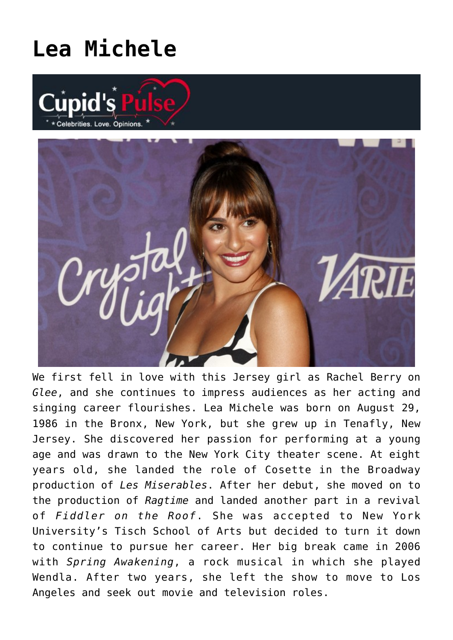## **[Lea Michele](https://cupidspulse.com/89075/lea-michele/)**





We first fell in love with this Jersey girl as Rachel Berry on *Glee*, and she continues to impress audiences as her acting and singing career flourishes. Lea Michele was born on August 29, 1986 in the Bronx, New York, but she grew up in Tenafly, New Jersey. She discovered her passion for performing at a young age and was drawn to the New York City theater scene. At eight years old, she landed the role of Cosette in the Broadway production of *Les Miserables*. After her debut, she moved on to the production of *Ragtime* and landed another part in a revival of *Fiddler on the Roof*. She was accepted to New York University's Tisch School of Arts but decided to turn it down to continue to pursue her career. Her big break came in 2006 with *Spring Awakening*, a rock musical in which she played Wendla. After two years, she left the show to move to Los Angeles and seek out movie and television roles.